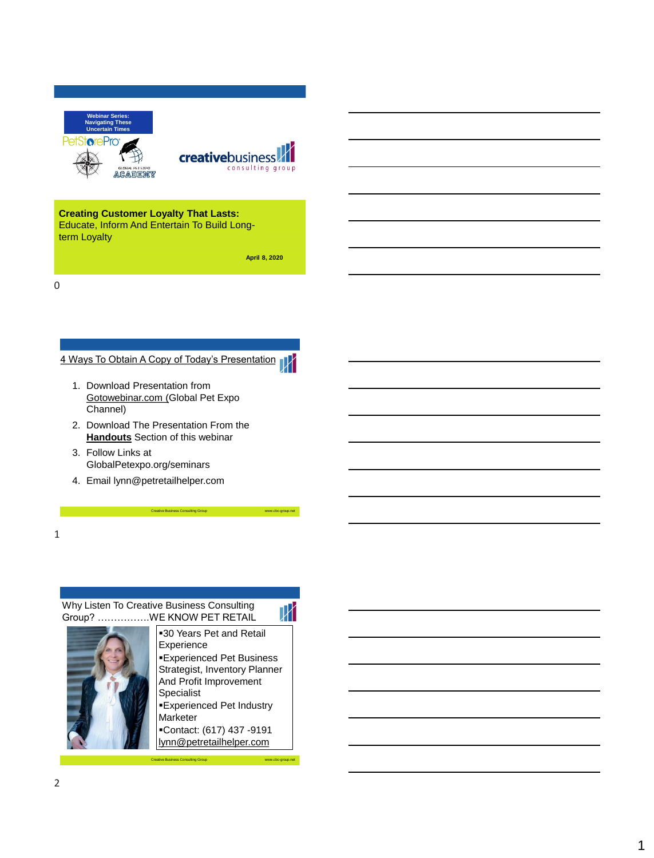



## **Creating Customer Loyalty That Lasts:**

Educate, Inform And Entertain To Build Longterm Loyalty

**April 8, 2020**

0

# 4 Ways To Obtain A Copy of Today's Presentation



- 2. Download The Presentation From the **Handouts** Section of this webinar
- 3. Follow Links at GlobalPetexpo.org/seminars
- 4. Email lynn@petretailhelper.com

1

### Why Listen To Creative Business Consulting Group? …………….WE KNOW PET RETAIL

 $\,W\,$ **-30 Years Pet and Retail** Experience **Experienced Pet Business** Strategist, Inventory Planner And Profit Improvement Specialist **Experienced Pet Industry** 

Creative Business Consulting Group www.cbc-group.net

Marketer ▪Contact: (617) 437 -9191

Creative Business Consulting Group www.cbc-group.net lynn@petretailhelper.com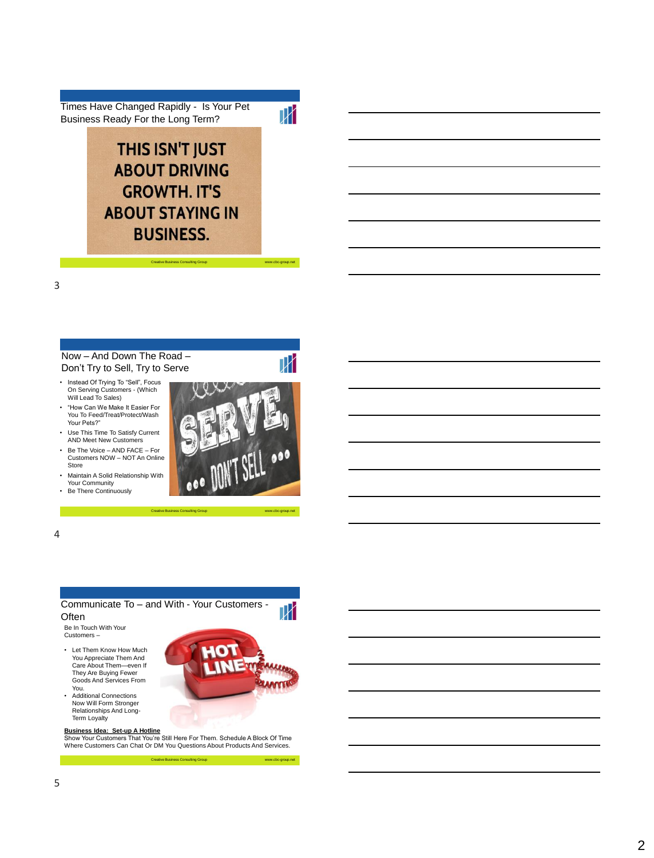Times Have Changed Rapidly - Is Your Pet Business Ready For the Long Term?

 $\overline{W}$ 

 $\mathbb {N}$ 

# **THIS ISN'T JUST ABOUT DRIVING GROWTH. IT'S ABOUT STAYING IN BUSINESS.**

#### Now – And Down The Road – Don't Try to Sell, Try to Serve

• Instead Of Trying To "Sell", Focus On Serving Customers - (Which Will Lead To Sales)

- "How Can We Make It Easier For You To Feed/Treat/Protect/Wash Your Pets?"
- Use This Time To Satisfy Current AND Meet New Customers
- Be The Voice AND FACE For Customers NOW – NOT An Online Store
- Maintain A Solid Relationship With Your Community
- Be There Continuously



Creative Business Consulting Group www.cbc-group.net

Creative Business Consulting Group www.cbc-group.net



Where Customers Can Chat Or DM You Questions About Products And Services.

Creative Business Consulting Group www.cbc-group.net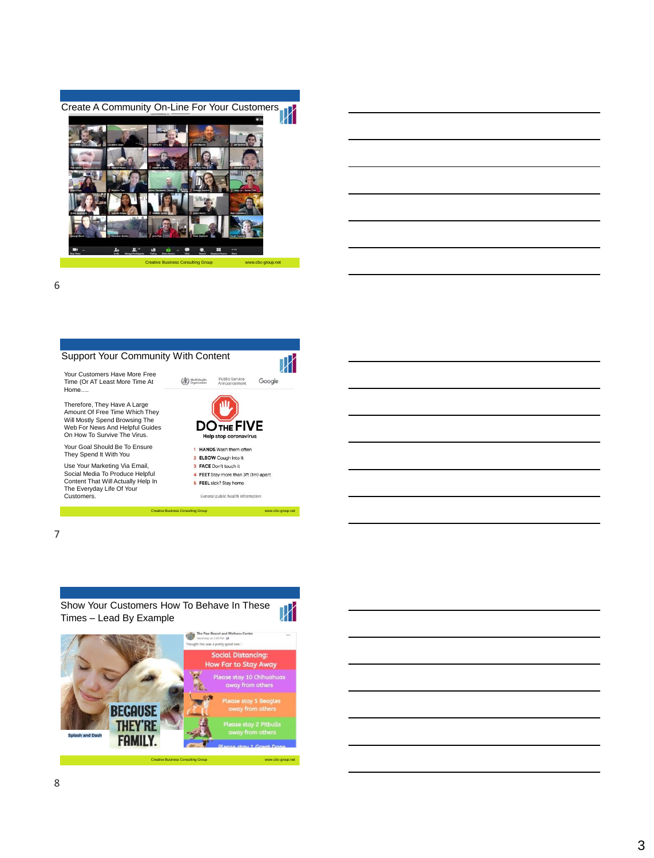



6

# Support Your Community With Content Your Customers Have More Free

Time (Or AT Least More Time At Home….

Therefore, They Have A Large Amount Of Free Time Which They Will Mostly Spend Browsing The Web For News And Helpful Guides On How To Survive The Virus.

Your Goal Should Be To Ensure They Spend It With You

Use Your Marketing Via Email, Social Media To Produce Helpful Content That Will Actually Help In The Everyday Life Of Your Customers.



Creative Business Consulting Group www.cbc-group





| <u> 1989 - Johann Barbara, marka a shekara tsa 1989 - An tsa 1989 - An tsa 1989 - An tsa 1989 - An tsa 1989 - An</u>  |  |  |
|-----------------------------------------------------------------------------------------------------------------------|--|--|
| <u> 1989 - Johann Stoff, deutscher Stoff, der Stoff, der Stoff, der Stoff, der Stoff, der Stoff, der Stoff, der S</u> |  |  |
| <u> 1989 - Andrea Andrew Maria (h. 1989).</u>                                                                         |  |  |
| the contract of the contract of the contract of the contract of the contract of                                       |  |  |
|                                                                                                                       |  |  |
| <u> 1989 - Andrea Stadt Britain, amerikansk politik (* 1989)</u>                                                      |  |  |
|                                                                                                                       |  |  |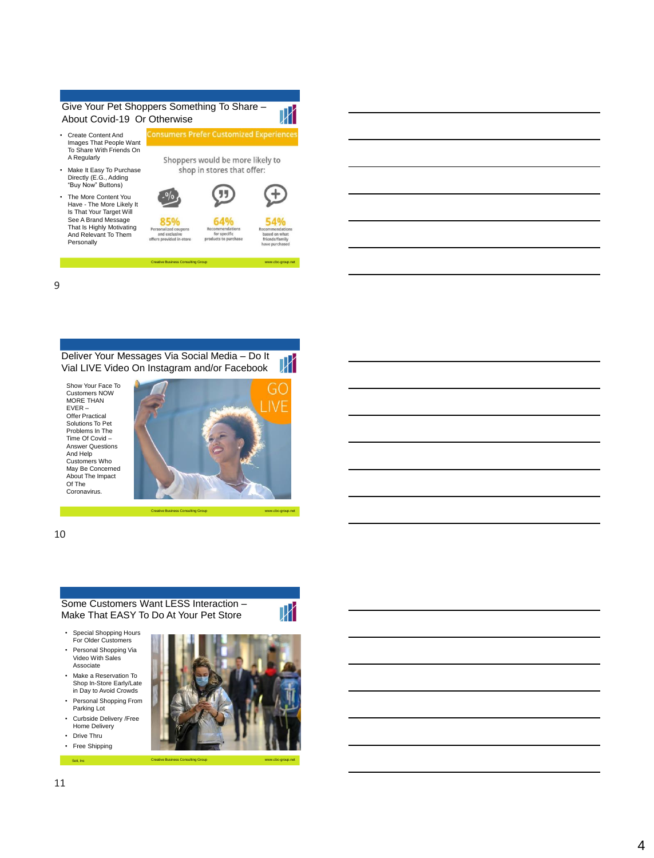

Have - The More Likely It Is That Your Target Will See A Brand Message That Is Highly Motivating And Relevant To Them Personally

| rsonalized coupons                     | Recom       |
|----------------------------------------|-------------|
| and exclusive<br>ers provided in-store | for<br>oduc |

 $\mathbb P$ off

Creative Business Consulting Group www.cbc www.cbc



-group.net

 $\,$   $\,$   $\,$ 

9

Deliver Your Messages Via Social Media – Do It Ж Vial LIVE Video On Instagram and/or Facebook

Show Your Face To Customers NOW MORE THAN EVER – Offer Practical Solutions To Pet Problems In The Time Of Covid – Answer Questions And Help Customers Who May Be Concerned About The Impact Of The Coronavirus.



10

#### Some Customers Want LESS Interaction – Make That EASY To Do At Your Pet Stor e

- Special Shopping Hours For Older Customers
- Personal Shopping Via Video With Sales Associate
- Make a Reservation To Shop In -Store Early/Late in Day to Avoid Crowds
- Personal Shopping From Parking Lot Curbside Delivery /Free
- Home Delivery • Drive Thru
- Free Shipping

Soti, Inc

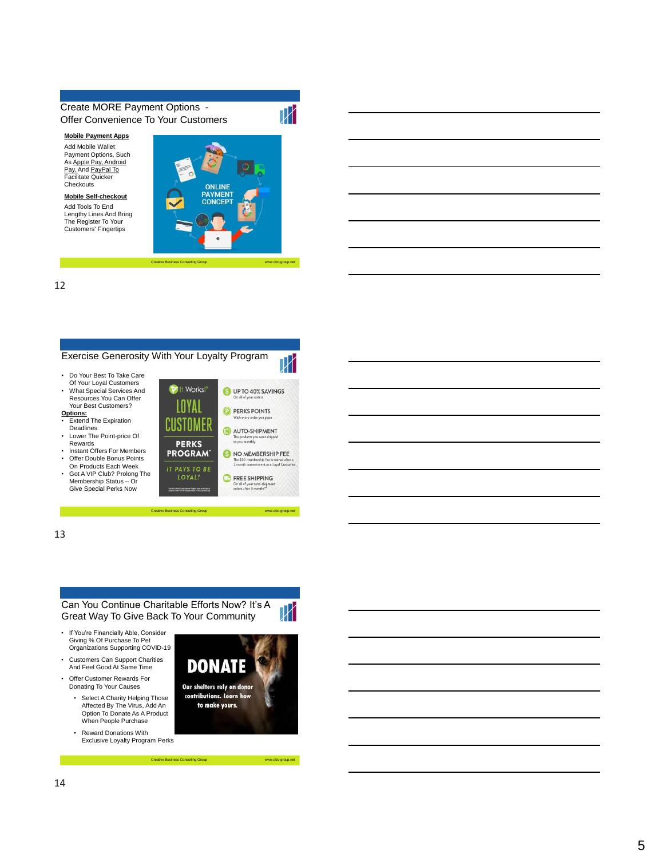### Create MORE Payment Options - Offer Convenience To Your Customers

**Mobile Payment Apps** Add Mobile Wallet Payment Options, Such As Apple Pay, Android Pay, And PayPal To Facilitate Quicker **Checkouts** 

**Mobile Self -checkout**  Add Tools To End Lengthy Lines And Bring The Register To Your Customers' Fingertips



Creative Business Consulting Group www.cbc www.cbc

-group.net

-group.net

-group.net

12



**Sulting Group** 



13

#### Can You Continue Charitable Efforts Now? It's A Great Way To Give Back To Your Community



Membership Status – Or Give Special Perks Now

- Customers Can Support Charities And Feel Good At Same Time
- Offer Customer Rewards For Donating To Your Causes
	- Select A Charity Helping Those Affected By The Virus, Add An Option To Donate As A Product When People Purchase
	- Reward Donations With Exclusive Loyalty Program Perks



Creative Business Consulting Group www.cbc www.cbc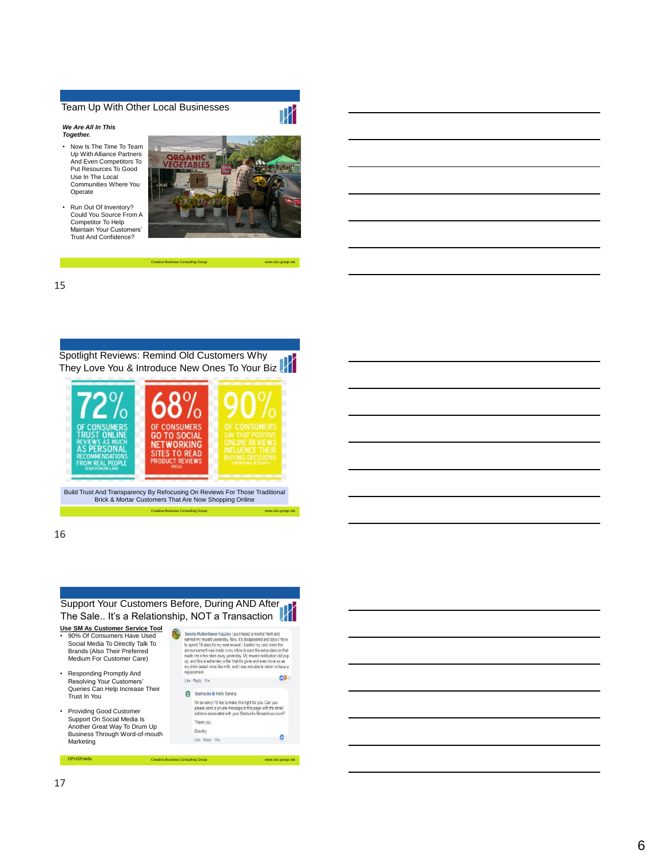#### Team Up With Other Local Businesses

*We Are All In This Together.* 

- Now Is The Time To Team Up With Alliance Partners And Even Competitors To Put Resources To Good Use In The Local Communities Where You Operate
- Run Out Of Inventory? Could You Source From A Competitor To Help Maintain Your Customers' Trust And Confidence?



TK

Creative Business Consulting Group www.cbc-group.net

15



16